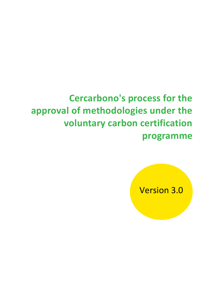# **Cercarbono's process for the approval of methodologies under the voluntary carbon certification programme**

Version 3.0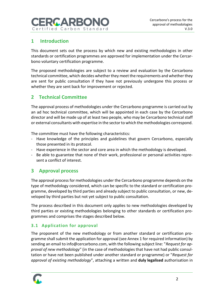

# **1 Introduction**

This document sets out the process by which new and existing methodologies in other standards or certification programmes are approved for implementation under the Cercarbono voluntary certification programme.

The proposed methodologies are subject to a review and evaluation by the Cercarbono technical committee, which decides whether they meet the requirements and whether they are sent for public consultation if they have not previously undergone this process or whether they are sent back for improvement or rejected.

## **2 Technical Committee**

The approval process of methodologies under the Cercarbono programme is carried out by an ad hoc technical committee, which will be appointed in each case by the Cercarbono director and will be made up of at least two people, who may be Cercarbono technical staff or external consultants with expertise in the sector to which the methodologies correspond.

The committee must have the following characteristics:

- Have knowledge of the principles and guidelines that govern Cercarbono, especially those presented in its protocol.
- Have experience in the sector and core area in which the methodology is developed.
- Be able to guarantee that none of their work, professional or personal activities represent a conflict of interest.

### **3 Approval process**

The approval process for methodologies under the Cercarbono programme depends on the type of methodology considered, which can be specific to the standard or certification programme, developed by third parties and already subject to public consultation, or new, developed by third parties but not yet subject to public consultation.

The process described in this document only applies to new methodologies developed by third parties or existing methodologies belonging to other standards or certification programmes and comprises the stages described below.

### **3.1 Application for approval**

The proponent of the new methodology or from another standard or certification programme shall submit the application for approval (see Annex 1 for required information) by sending an email to info@cercarbono.com, with the following subject line: "*Request for approval of new methodology*" (in the case of methodologies that have not had public consultation or have not been published under another standard or programme) or "*Request for approval of existing methodology*", attaching a written and **duly legalised** authorisation in

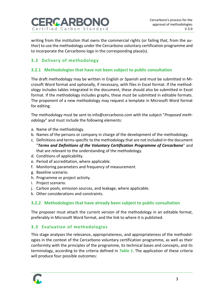

writing from the institution that owns the commercial rights (or failing that, from the author) to use the methodology under the Cercarbono voluntary certification programme and to incorporate the Cercarbono logo in the corresponding place(s).

### **3.2 Delivery of methodology**

### **3.2.1 Methodologies that have not been subject to public consultation**

The draft methodology may be written in English or Spanish and must be submitted in Microsoft Word format and optionally, if necessary, with files in Excel format. If the methodology includes tables integrated in the document, these should also be submitted in Excel format. If the methodology includes graphs, these must be submitted in editable formats. The proponent of a new methodology may request a template in Microsoft Word format for editing.

The methodology must be sent to info@cercarbono.com with the subject "*Proposed methodology*" and must include the following elements:

- a. Name of the methodology.
- b. Names of the persons or company in charge of the development of the methodology.
- c. Definitions and terms specific to the methodology that are not included in the document "*Terms and Definitions of the Voluntary Certification Programme of Cercarbono*" and that are relevant to the understanding of the methodology.
- d. Conditions of applicability.
- e. Period of accreditation, where applicable.
- f. Monitoring parameters and frequency of measurement.
- g. Baseline scenario.
- h. Programme or project activity.
- i. Project scenario.
- j. Carbon pools, emission sources, and leakage, where applicable.
- k. Other considerations and constraints.

### **3.2.2 Methodologies that have already been subject to public consultation**

The proposer must attach the current version of the methodology in an editable format, preferably in Microsoft Word format, and the link to where it is published.

### **3.3 Evaluation of methodologies**

This stage analyses the relevance, appropriateness, and appropriateness of the methodologies in the context of the Cercarbono voluntary certification programme, as well as their conformity with the principles of the programme, its technical bases and concepts, and its terminology, according to the criteria defined in *[Table 1](#page-3-0)*. The application of these criteria will produce four possible outcomes:

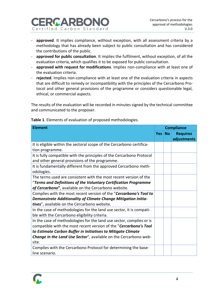

- **approved**. It implies compliance, without exception, with all assessment criteria by a methodology that has already been subject to public consultation and has considered the contributions of the public.
- **approved for public consultation**. It implies the fulfilment, without exception, of all the evaluation criteria, which qualifies it to be exposed for public consultation.
- **approved with request for modifications**. Implies non-compliance with at least one of the evaluation criteria.
- **rejected**. Implies non-compliance with at least one of the evaluation criteria in aspects that are difficult to remedy or incompatibility with the principles of the Cercarbono Protocol and other general provisions of the programme or considers questionable legal, ethical, or commercial aspects.

The results of the evaluation will be recorded in minutes signed by the technical committee and communicated to the proposer.

| <b>Element</b>                                                                                                                                                                                                                                                                         | <b>Compliance</b> |           |                                |
|----------------------------------------------------------------------------------------------------------------------------------------------------------------------------------------------------------------------------------------------------------------------------------------|-------------------|-----------|--------------------------------|
|                                                                                                                                                                                                                                                                                        | <b>Yes</b>        | <b>No</b> | <b>Requires</b><br>adjustments |
| It is eligible within the sectoral scope of the Cercarbono certifica-<br>tion programme.                                                                                                                                                                                               |                   |           |                                |
| It is fully compatible with the principles of the Cercarbono Protocol<br>and other general provisions of the programme.                                                                                                                                                                |                   |           |                                |
| It is fundamentally different from the approved Cercarbono meth-<br>odologies.                                                                                                                                                                                                         |                   |           |                                |
| The terms used are consistent with the most recent version of the<br>"Terms and Definitions of the Voluntary Certification Programme<br>of Cercarbono", available on the Cercarbono website.                                                                                           |                   |           |                                |
| Complies with the most recent version of the "Cercarbono's Tool to<br>Demonstrate Additionality of Climate Change Mitigation Initia-<br>tives", available on the Cercarbono website.                                                                                                   |                   |           |                                |
| In the case of methodologies for the land use sector, it is compati-<br>ble with the Cercarbono eligibility criteria.                                                                                                                                                                  |                   |           |                                |
| In the case of methodologies for the land use sector, complies or is<br>compatible with the most recent version of the "Cercarbono's Tool<br>to Estimate Carbon Buffer in Initiatives to Mitigate Climate<br>Change in the Land Use Sector", available on the Cercarbono web-<br>site. |                   |           |                                |
| Complies with the Cercarbono Protocol for determining the base-<br>line scenario.                                                                                                                                                                                                      |                   |           |                                |

<span id="page-3-0"></span>**Table 1**. Elements of evaluation of proposed methodologies.

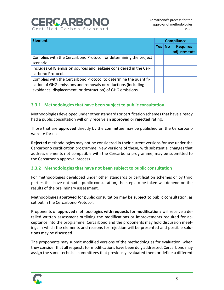# RICAREO Certified Carbon Standard

| <b>Element</b>                                                                                                                                                                                  | <b>Compliance</b> |                 |                                |
|-------------------------------------------------------------------------------------------------------------------------------------------------------------------------------------------------|-------------------|-----------------|--------------------------------|
|                                                                                                                                                                                                 | Yes               | No <sub>1</sub> | <b>Requires</b><br>adjustments |
| Complies with the Cercarbono Protocol for determining the project<br>scenario.                                                                                                                  |                   |                 |                                |
| Includes GHG emission sources and leakage considered in the Cer-<br>carbono Protocol.                                                                                                           |                   |                 |                                |
| Complies with the Cercarbono Protocol to determine the quantifi-<br>cation of GHG emissions and removals or reductions (including<br>avoidance, displacement, or destruction) of GHG emissions. |                   |                 |                                |

### **3.3.1 Methodologies that have been subject to public consultation**

Methodologies developed under other standards or certification schemes that have already had a public consultation will only receive an **approved** or **rejected** rating.

Those that are **approved** directly by the committee may be published on the Cercarbono website for use.

**Rejected** methodologies may not be considered in their current versions for use under the Cercarbono certification programme. New versions of these, with substantial changes that address elements not compatible with the Cercarbono programme, may be submitted to the Cercarbono approval process.

### <span id="page-4-0"></span>**3.3.2 Methodologies that have not been subject to public consultation**

For methodologies developed under other standards or certification schemes or by third parties that have not had a public consultation, the steps to be taken will depend on the results of the preliminary assessment.

Methodologies **approved** for public consultation may be subject to public consultation, as set out in the Cercarbono Protocol.

Proponents of **approved** methodologies **with requests for modifications** will receive a detailed written assessment outlining the modifications or improvements required for acceptance into the programme. Cercarbono and the proponents may hold discussion meetings in which the elements and reasons for rejection will be presented and possible solutions may be discussed.

The proponents may submit modified versions of the methodologies for evaluation, when they consider that all requests for modifications have been duly addressed. Cercarbono may assign the same technical committees that previously evaluated them or define a different

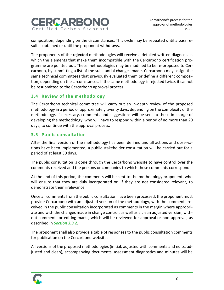

composition, depending on the circumstances. This cycle may be repeated until a pass result is obtained or until the proponent withdraws.

The proponents of the **rejected** methodologies will receive a detailed written diagnosis in which the elements that make them incompatible with the Cercarbono certification programme are pointed out. These methodologies may be modified to be re-proposed to Cercarbono, by submitting a list of the substantial changes made. Cercarbono may assign the same technical committees that previously evaluated them or define a different composition, depending on the circumstances. If the same methodology is rejected twice, it cannot be resubmitted to the Cercarbono approval process.

### **3.4 Review of the methodology**

The Cercarbono technical committee will carry out an in-depth review of the proposed methodology in a period of approximately twenty days, depending on the complexity of the methodology. If necessary, comments and suggestions will be sent to those in charge of developing the methodology, who will have to respond within a period of no more than 20 days, to continue with the approval process.

### **3.5 Public consultation**

After the final version of the methodology has been defined and all actions and observations have been implemented, a public stakeholder consultation will be carried out for a period of at least 30 days.

The public consultation is done through the Cercarbono website to have control over the comments received and the persons or companies to which these comments correspond.

At the end of this period, the comments will be sent to the methodology proponent, who will ensure that they are duly incorporated or, if they are not considered relevant, to demonstrate their irrelevance.

Once all comments from the public consultation have been processed, the proponent must provide Cercarbono with an adjusted version of the methodology, with the comments received in the public consultation incorporated as comments in the margin where appropriate and with the changes made in change control, as well as a clean adjusted version, without comments or editing marks, which will be reviewed for approval or non-approval, as described in *Section [3.3.2](#page-4-0)*.

The proponent shall also provide a table of responses to the public consultation comments for publication on the Cercarbono website.

All versions of the proposed methodologies (initial, adjusted with comments and edits, adjusted and clean), accompanying documents, assessment diagnostics and minutes will be

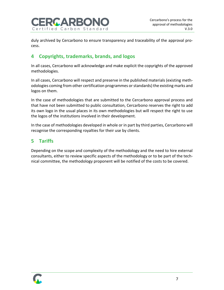

duly archived by Cercarbono to ensure transparency and traceability of the approval process.

# **4 Copyrights, trademarks, brands, and logos**

In all cases, Cercarbono will acknowledge and make explicit the copyrights of the approved methodologies.

In all cases, Cercarbono will respect and preserve in the published materials (existing methodologies coming from other certification programmes or standards) the existing marks and logos on them.

In the case of methodologies that are submitted to the Cercarbono approval process and that have not been submitted to public consultation, Cercarbono reserves the right to add its own logo in the usual places in its own methodologies but will respect the right to use the logos of the institutions involved in their development.

In the case of methodologies developed in whole or in part by third parties, Cercarbono will recognise the corresponding royalties for their use by clients.

# **5 Tariffs**

Depending on the scope and complexity of the methodology and the need to hire external consultants, either to review specific aspects of the methodology or to be part of the technical committee, the methodology proponent will be notified of the costs to be covered.

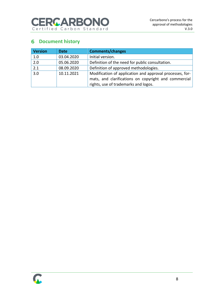

# **6** Document history

| <b>Version</b> | <b>Date</b> | <b>Comments/changes</b>                                                                                          |
|----------------|-------------|------------------------------------------------------------------------------------------------------------------|
| 1.0            | 03.04.2020  | Initial version.                                                                                                 |
| 2.0            | 05.06.2020  | Definition of the need for public consultation.                                                                  |
| 2.1            | 08.09.2020  | Definition of approved methodologies.                                                                            |
| 3.0            | 10.11.2021  | Modification of application and approval processes, for-<br>mats, and clarifications on copyright and commercial |
|                |             | rights, use of trademarks and logos.                                                                             |

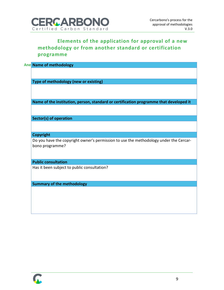

# **Elements of the application for approval of a new methodology or from another standard or certification programme**

| <b>Ane Name of methodology</b>                                                                           |  |
|----------------------------------------------------------------------------------------------------------|--|
|                                                                                                          |  |
|                                                                                                          |  |
| Type of methodology (new or existing)                                                                    |  |
|                                                                                                          |  |
|                                                                                                          |  |
| Name of the institution, person, standard or certification programme that developed it                   |  |
|                                                                                                          |  |
| <b>Sector(s) of operation</b>                                                                            |  |
|                                                                                                          |  |
|                                                                                                          |  |
| <b>Copyright</b>                                                                                         |  |
| Do you have the copyright owner's permission to use the methodology under the Cercar-<br>bono programme? |  |
| <b>Public consultation</b>                                                                               |  |
|                                                                                                          |  |
| Has it been subject to public consultation?                                                              |  |
|                                                                                                          |  |
| <b>Summary of the methodology</b>                                                                        |  |
|                                                                                                          |  |
|                                                                                                          |  |
|                                                                                                          |  |
|                                                                                                          |  |